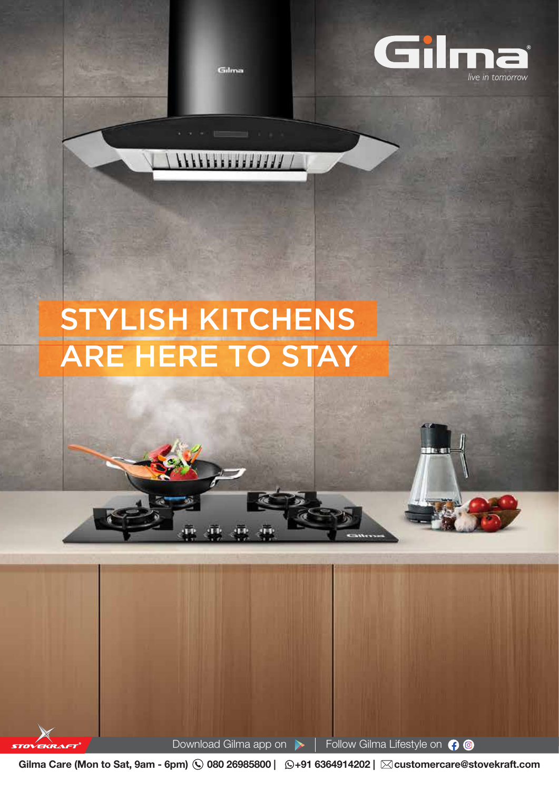Gilma



## STYLISH KITCHENS ARE HERE TO STAY

Download Gilma app on  $\blacktriangleright$  | Follow Gilma Lifestyle on  $\bigcirc$   $\bigcirc$ 

Gilma Care (Mon to Sat, 9am - 6pm)  $\bigcirc$  080 26985800 |  $\bigcirc$ +91 6364914202 |  $\boxtimes$ customercare@stovekraft.com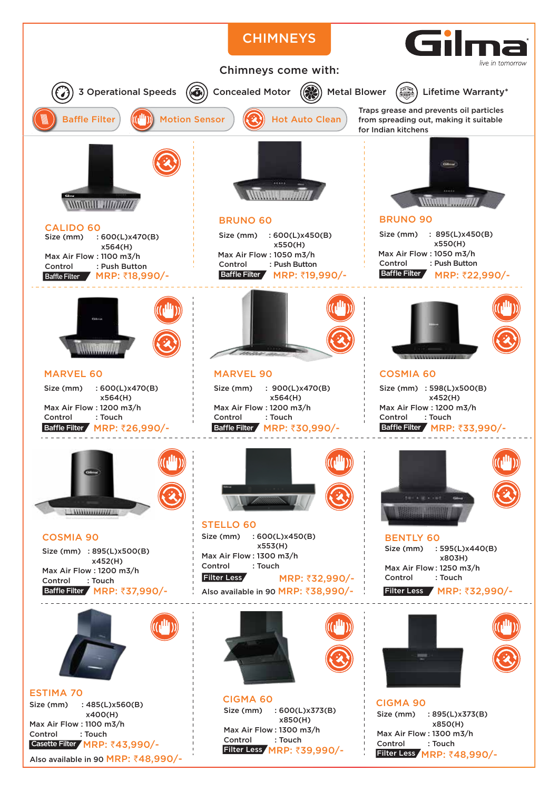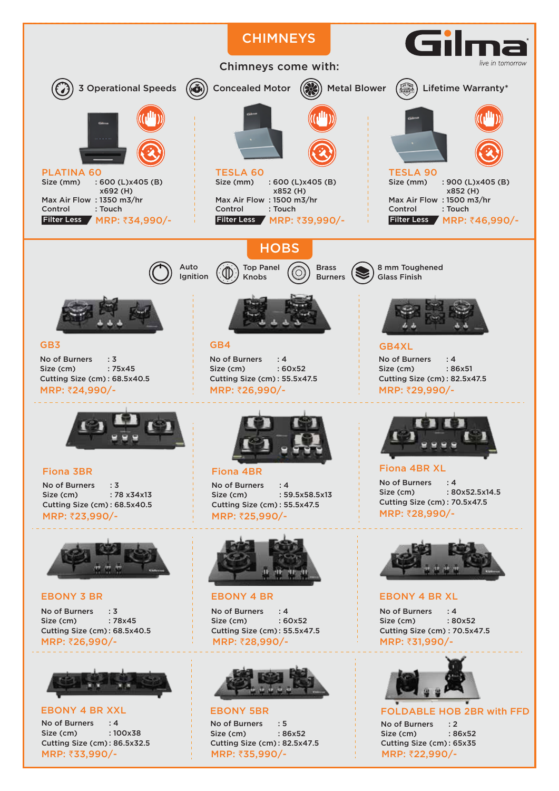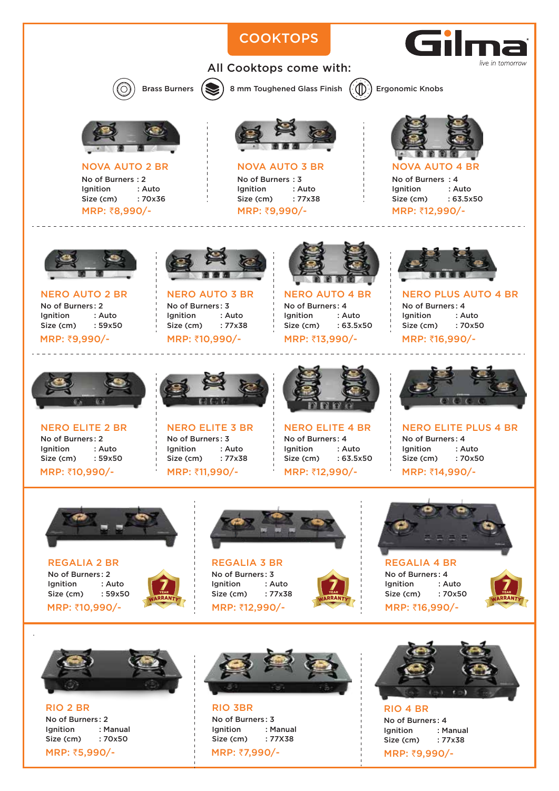## **COOKTOPS** live in tomorrow All Cooktops come with: Brass Burners  $($   $\bullet)$  8 mm Toughened Glass Finish  $($  $($  $\circ)$  Ergonomic Knobs NOVA AUTO 2 BR NOVA AUTO 3 BR NOVA AUTO 4 BR No of Burners : 2<br>Ignition : Auto No of Burners : 3 No of Burners : 4 Ignition : Auto<br>Size (cm) : 70x36 Ignition : Auto Ignition : Auto

Size (cm) : 77x38 MRP: ₹9,990/-

Size (cm)

MRP: ₹8,990/-

No of Burners : 2 Ignition : Auto Size (cm) : 59x50 NERO AUTO 2 BR

MRP: ₹9,990/-



No of Burners : 3 Ignition : Auto<br>Size (cm) : 77x38 Size (cm) NERO AUTO 3 BR MRP: ₹10,990/-



No of Burners : 4 Ignition : Auto<br>Size (cm) : 63.5x50 Size (cm) NERO AUTO 4 BR MRP: ₹13,990/-

Ignition : Auto<br>Size (cm) : 70x50 Size (cm) MRP: ₹16,990/-

No of Burners : 4

Size (cm) : 63.5x50 MRP: ₹12,990/-



No of Burners: 2<br>Ignition : Auto **Ignition** Size (cm) : 59x50 NERO ELITE 2 BR MRP: ₹10,990/-



No of Burners : 3 Ignition : Auto Size (cm) : 77x38 NERO ELITE 3 BR MRP: ₹11,990/-



No of Burners : 4 Ignition : Auto Size (cm) : 63.5x50 NERO ELITE 4 BR MRP: ₹12,990/-



NERO PLUS AUTO 4 BR

No of Burners : 4 Ignition : Auto Size (cm) : 70x50 NERO ELITE PLUS 4 BR MRP: ₹14.990/-



No of Burners : 2 Ignition : Auto Size (cm) : 59x50 REGALIA 2 BR MRP: ₹10,990/-



Ignition : Auto MRP: ₹12,990/-



 $\frac{1}{28.8}$  Size (cm) : 77x38  $\frac{1}{28.8}$  Size (cm) : 70x50  $\frac{1}{28.8}$ No of Burners : 4 Ignition : Auto Size (cm) : 70x50 REGALIA 4 BR MRP: ₹16,990/-





No of Burners : 2 Ignition : Manual Size (cm) : 70x50 RIO 2 BR MRP: ₹5,990/-



No of Burners : 3 Ignition : Manual Size (cm) : 77X38 RIO 3BR MRP: ₹7,990/-



No of Burners : 4 Ignition : Manual Size (cm) : 77x38 RIO 4 BR MRP: ₹9,990/-